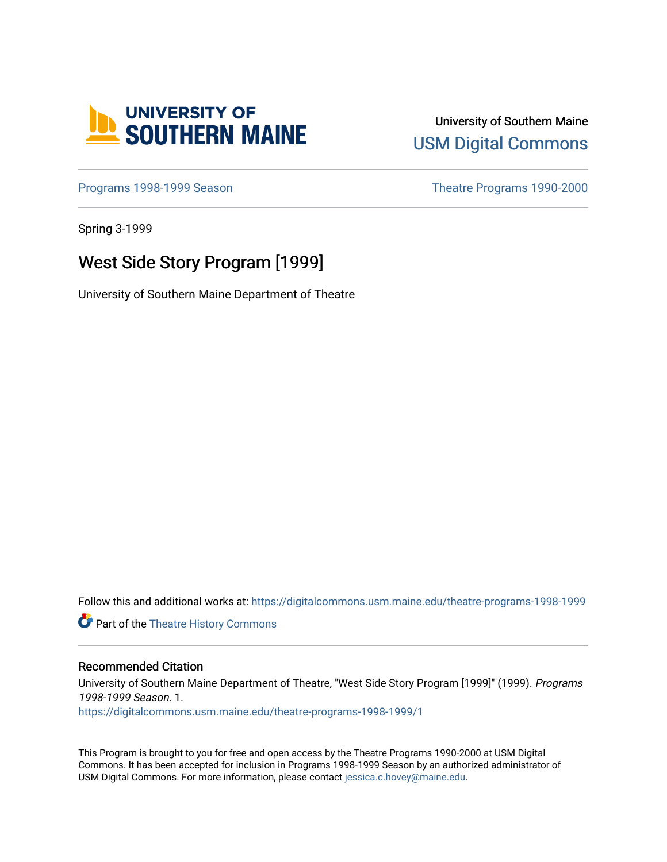

# University of Southern Maine [USM Digital Commons](https://digitalcommons.usm.maine.edu/)

[Programs 1998-1999 Season](https://digitalcommons.usm.maine.edu/theatre-programs-1998-1999) **Theatre Programs 1990-2000** 

Spring 3-1999

# West Side Story Program [1999]

University of Southern Maine Department of Theatre

Follow this and additional works at: [https://digitalcommons.usm.maine.edu/theatre-programs-1998-1999](https://digitalcommons.usm.maine.edu/theatre-programs-1998-1999?utm_source=digitalcommons.usm.maine.edu%2Ftheatre-programs-1998-1999%2F1&utm_medium=PDF&utm_campaign=PDFCoverPages) 

**Part of the [Theatre History Commons](http://network.bepress.com/hgg/discipline/553?utm_source=digitalcommons.usm.maine.edu%2Ftheatre-programs-1998-1999%2F1&utm_medium=PDF&utm_campaign=PDFCoverPages)** 

#### Recommended Citation

University of Southern Maine Department of Theatre, "West Side Story Program [1999]" (1999). Programs 1998-1999 Season. 1. [https://digitalcommons.usm.maine.edu/theatre-programs-1998-1999/1](https://digitalcommons.usm.maine.edu/theatre-programs-1998-1999/1?utm_source=digitalcommons.usm.maine.edu%2Ftheatre-programs-1998-1999%2F1&utm_medium=PDF&utm_campaign=PDFCoverPages) 

This Program is brought to you for free and open access by the Theatre Programs 1990-2000 at USM Digital Commons. It has been accepted for inclusion in Programs 1998-1999 Season by an authorized administrator of USM Digital Commons. For more information, please contact [jessica.c.hovey@maine.edu](mailto:ian.fowler@maine.edu).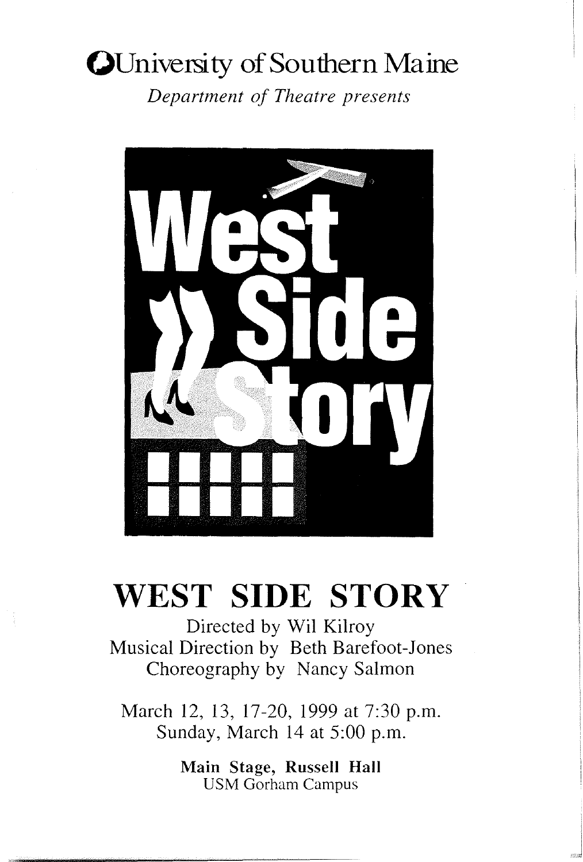# **OUniversity of Southern Maine**

*Department of Theatre presents* 



# **WEST SIDE STORY**

Directed by Wil Kilroy Musical Direction by Beth Barefoot-Jones Choreography by Nancy Salmon

March 12, 13, 17-20, 1999 at 7:30 p.m. Sunday, March 14 at 5:00 p.m.

> Main Stage, Russell Hall USM Gorham Campus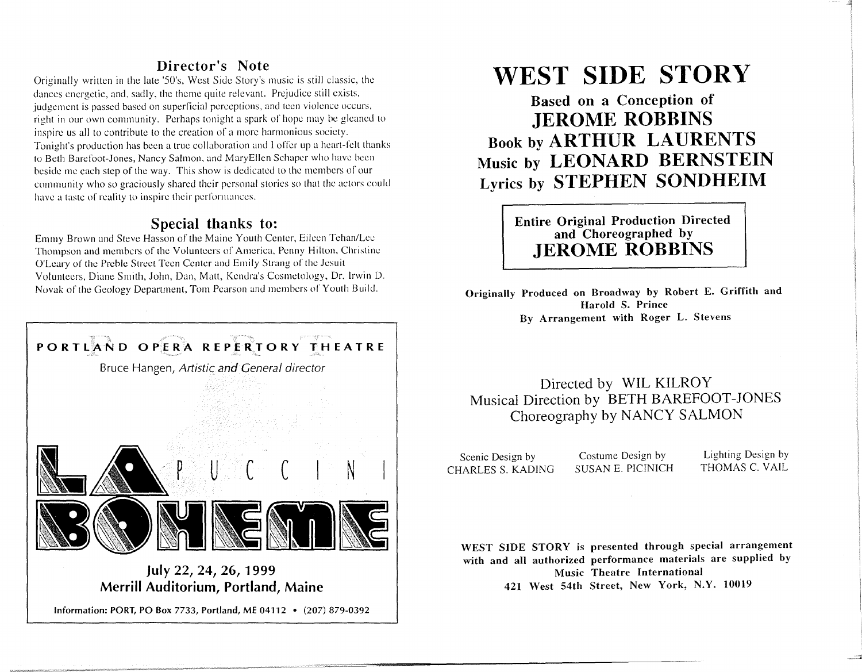# Director's Note

Originally written in the late '50's, West Side Story's music is still classic, the dances energetic, and, sadly, the theme quite relevant. Prejudice still exists, judgement is passed based on superficial perceptions, and teen violence occurs, right in our own community. Perhaps tonight a spark of hope may be gleaned to inspire us all to contribute to the creation of a more harmonious society. Tonight's production has been a true collaboration and I offer up a heart-felt thanks to Beth Barefoot-Jones, Nancy Salmon, and MaryEllen Schaper who have been beside me each step of the way. This show is dedicated to the members of our community who so graciously shared their personal stories so that the actors could have a taste of reality to inspire their performances.

## Special thanks to:

Emmy Brown and Steve Hasson of the Maine Youth Center, Eileen Tehan/Lee Thompson and members of the Volunteers of America, Penny Hilton, Christine O'Leary of the Preble Street Teen Center and Emily Strang of the Jesuit Volunteers, Diane Smith, John, Dan, Mall, Kenura's Cosmetology, Dr. Irwin D. Novak of the Geology Department, Tom Pearson and members of Youth Build.



Merrill Auditorium, Portland, Maine

Information: PORT, PO Box 7733, Portland, ME 04112 • (207) 879-0392

# WEST SIDE STORY

Based on a Concepiion of JEROME ROBBINS Book by ARTHUR LAURENTS Music by LEONARD BERNSTEIN Lyrics by STEPHEN SONDHEIM

> Entire Original Production Directed and Choreographed by JEROME ROBBINS

Originally Produced on Broadway by Robert E. Griffith and Harold S. Prince By Arrangement with Roger L. Stevens

# Directed by WIL KILROY Musical Direction by BETH BAREFOOT-JONES Choreography by NANCY SALMON

Scenic Design by CHARLES S. KADING

Costume Design by SUSAN E. PICINICH

Lighting Design by THOMAS C. VAIL

WEST SIDE STORY is presented through special arrangement with and all authorized performance materials are supplied by Music Theatre International 421 West 54th Street, New York, N.Y. 10019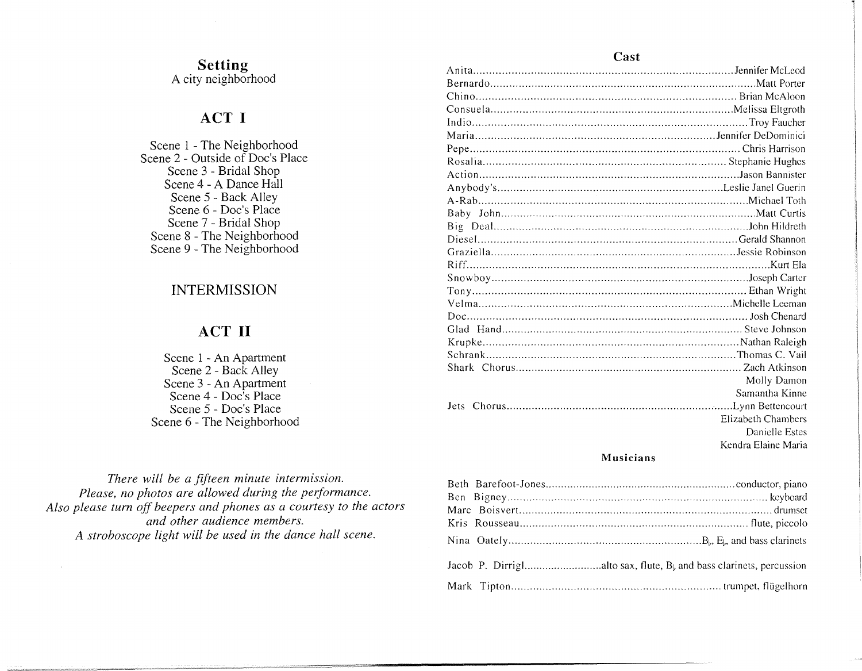#### **Setting**  A city neighborhood

# **ACT I**

Scene **l** - The Neighborhood Scene 2 - Outside of Doc's Place Scene 3 - Bridal Shop Scene 4 - A Dance Hall Scene 5 - Back Alley Scene 6 - Doc's Place Scene 7 - Bridal Shop Scene 8 - The Neighborhood Scene 9 - The Neighborhood

### **INTERMISSION**

### **ACT II**

Scene 1 - An Apartment Scene 2 - Back Alley Scene 3 - An Apartment Scene 4 - Doc's Place Scene 5 - Doc's Place Scene 6 - The Neighborhood

*There will be a fifteen minute intermission. Please, no photos are allowed during the performance. Also please turn off beepers and phones as a courtesy to the actors and other audience members. A stroboscope light will be used in the dance hall scene.* 

#### Anita ................................................................................. Jcnnifer Mcleod Bernardo .................................................................................... Matt Porter Chino ................................................................................. Brian McAloon Consuela ............................................................................ Melissa Eltgroth Indio ...................................................................................... Troy Faucher Maria ........................................................................... Jennifer DeDominici Pepe .................................................................................... Chris Harrison Rosalia ............................................................................ Stephanie Hughes Action ................................................................................ .Jason Bannister Anybody's ....................................................................... Leslie Janel Guerin A-Rab .................................................................................... Michael Toth Baby John ................................................................................. Matt Curtis Big Deal. ............................................................................... .John Hildreth Diesel ................................................................................. Gerald Shannon Graziella ............................................................................. Jessie Robinson Riff. ............................................................................................. Kurt Ela Snowboy ............................................................................... .Joseph Carter Tony ..................................................................................... Ethan Wright Velma ............................................................................... Michelle Leeman Doc ....................................................................................... Josh Chenard Glad Hand ............................................................................. Steve Johnson Krupke ................................................................................ Nathan Raleigh Schrank .............................................................................. Thomas C. Vail Shark Chorus ........................................................................ Zach Atkinson Molly Damon Samantha Kinne Jets Chorus ........................................................................ Lynn Bettencourt **Musicians**  Elizabeth Chambers Danielle Estes Kendra Elaine Maria

| Jacob P. Dirrighalto sax, flute, B <sub>b</sub> and bass clarinets, percussion |  |
|--------------------------------------------------------------------------------|--|
|                                                                                |  |

#### **Cast**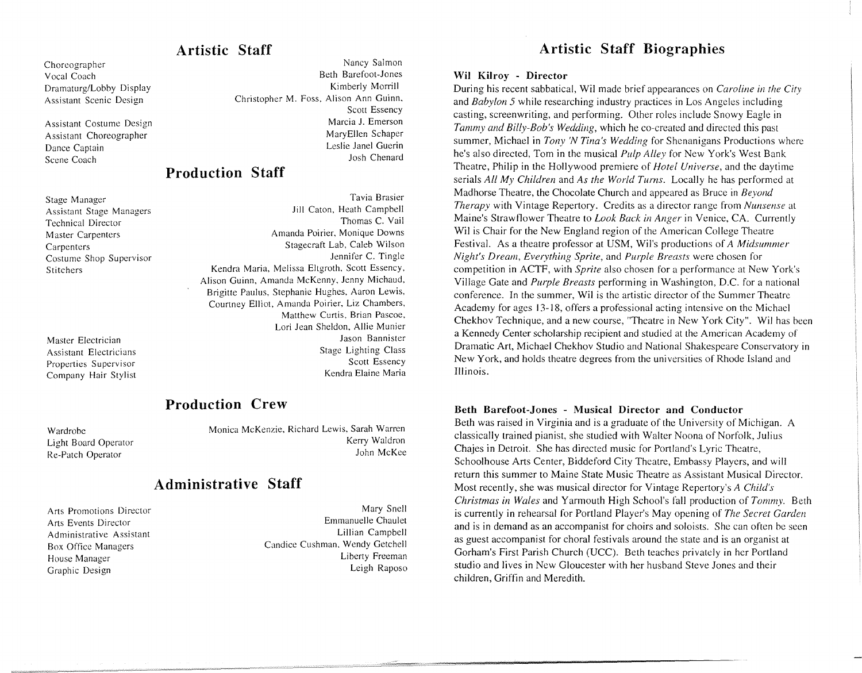# **Artistic Staff**

Choreographer Vocal Coach Dramaturg/Lobby Display Assistant Scenic Design

Assistant Costume Design Assistant Choreographer Dance Captain Scene Coach

Stage Manager Assistant Stage Managers Technical Director Master Carpenters Carpenters Costume Shop Supervisor Stitchers

Master Electrician Assistant Electricians Properties Supervisor Company Hair Stylist

Nancy Salmon Beth Barefoot-Jones Kimberly Morrill Christopher M. Foss, Alison Ann Guinn, Scott Essency Marcia J. Emerson MaryEllen Schaper Leslie Janel Guerin Josh Chenard

# **Production Staff**

Tavia Brasier Jill Caton, Heath Campbell Thomas C. Vail Amanda Poirier, Monique Downs Stagecraft Lab, Caleb Wilson Jennifer C. Tingle Kendra Maria, Melissa Eltgroth, Scott Essency, Alison Guinn, Amanda McKenny, Jenny Michaud, Brigitte Paulus, Stephanie Hughes. Aaron Lewis, Courtney Elliot. Amanda Poirier. Liz Chambers, Matthew Curtis, Brian Pascoe, Lori Jean Sheldon, Allie Munier Jason Bannister Stage Lighting Class Scott Essency Kendra Elaine Maria

# **Production Crew**

Wardrobe Light Board Operator Re-Patch Operator

Monica McKenzie, Richard Lewis. Sarah Warren Kerry Waldron John McKee

# **Administrative Staff**

Arts Promotions Director Arts Events Director Administrative Assistant Box Office Managers House Manager Graphic Design

Mary Snell Emmanuelle Chaulet Lillian Campbell Candice Cushman. Wendy Getchell Liberty Freeman Leigh Raposo

# **Artistic Staff Biographies**

#### **Wil Kilroy · Director**

During his recent sabbatical, Wil made brief appearances on *Caroline in the City*  and *Babylon 5* while researching industry practices in Los Angeles including casting, screenwriting, and performing. Other roles include Snowy Eagle in *Tammy and Billy-Bob's Wedding,* which he co-created and directed this past summer, Michael in *Tony* 'N *Tina's Wedding* for Shenanigans Productions where he's also directed, Tom in the musical *Pulp Alley* for New York's West Bank Theatre, Philip in the Hollywood premiere of *Hotel Universe,* and the daytime serials *All My Children* and *As the World Turns.* Locally he has performed at Madhorse Theatre, the Chocolate Church and appeared as Bruce in *Beyond Therapy* with Vintage Repertory. Credits as a director range from *Nunsense* at Maine's Strawflower Theatre to *Look Back in Anger* in Venice, CA. Currently Wil is Chair for the New England region of the American College Theatre Festival. As a theatre professor at USM, Wil's productions of *A Midsummer Night's Dream, Everything Sprite, and Purple Breasts were chosen for* competition in ACTF, with *Sprite* also chosen for a performance at New York's Village Gate and *Purple Breasts* performing in Washington, D.C. for a national conference. In the summer, Wil is the artistic director of the Summer Theatre Academy for ages 13-18, offers a professional acting intensive on the Michael Chekhov Technique, and a new course, "Theatre in New York City". Wil has been a Kennedy Center scholarship recipient and studied at the American Academy of Dramatic Art, Michael Chekhov Studio and National Shakespeare Conservatory in New York, and holds theatre degrees from the universities of Rhode Island and Illinois.

**Beth Barefoot-Jones - Musical Director and Conductor** 

Beth was raised in Virginia and is a graduate of the University of Michigan. A classically trained pianist, she studied with Walter Noona of Norfolk, Julius Chajes in Detroit. She has directed music for Portland's Lyric Theatre, Schoolhouse Arts Center, Biddeford City Theatre, Embassy Players, and will return this summer to Maine State Music Theatre as Assistant Musical Director. Most recently, she was musical director for Vintage Repertory's *A Child's Christmas in Wales* and Yarmouth High School's fall production of *Tommy.* Beth is currently in rehearsal for Portland Player's May opening of *The Secret Garden*  and is in demand as an accompanist for choirs and soloists. She can often be seen as guest accompanist for choral festivals around the state and is an organist at Gorham's First Parish Church (UCC). Beth teaches privately in her Portland studio and lives in New Gloucester with her husband Steve Jones and their children, Griffin and Meredith.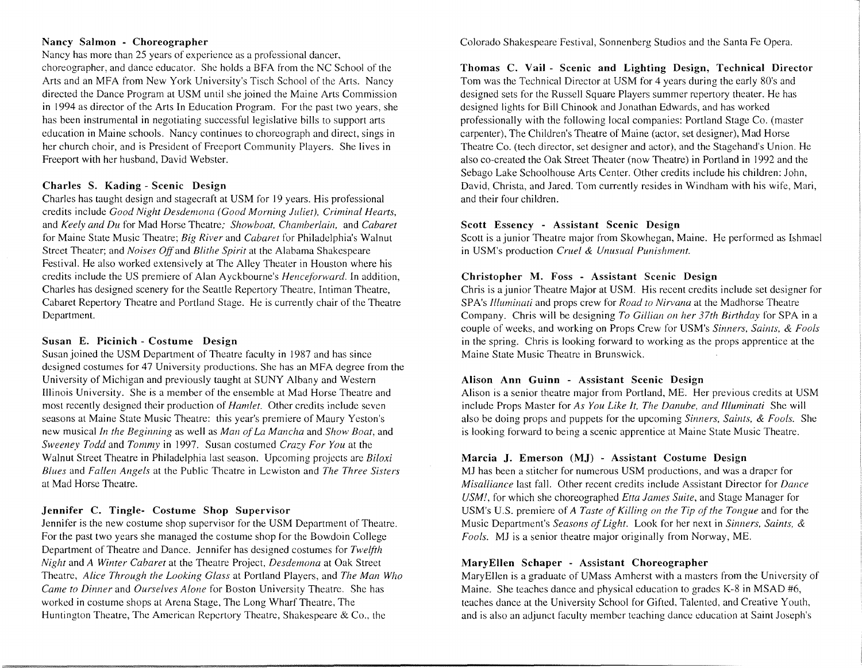#### Nancy Salmon - Choreographer

Nancy has more than 25 years of experience as a professional dancer, choreographer, and dance educator. She holds a BFA from the NC School of the Arts and an MFA from New York University's Tisch School of the Arts. Nancy directed the Dance Program at USM until she joined the Maine Arts Commission in 1994 as director of the Arts In Education Program. For the past two years, she has been instrumental in negotiating successful legislative bills to support arts education in Maine schools. Nancy continues to choreograph and direct, sings in her church choir, and is President of Freeport Community Players. She lives in Freeport with her husband, David Webster.

#### Charles S. Kading - Scenic Design

Charles has taught design and stagecraft at USM for 19 years. His professional credits include *Good Night Desdemona (Good Morning Juliet). Criminal Hearts,*  and *Keely and Du* for Mad Horse Theatre; *Showboat, Chamberlain,* and *Cabaret*  for Maine State Music Theatre; *Big River* and *Cabaret* for Philadelphia's Walnut Street Theater; and *Noises Off* and *Blithe Spirit* at the Alabama Shakespeare Festival. He also worked extensively at The Alley Theater in Houston where his credits include the US premiere of Alan Ayckbournc's *Henceforward.* In addition, Charles has designed scenery for the Seattle Repertory Theatre, Intiman Theatre, Cabaret Repertory Theatre and Portland Stage. He is currently chair of the Theatre Department.

#### Susan E. Picinich - Costume Design

Susan joined the USM Department of Theatre faculty in 1987 and has since designed costumes for 47 University productions. She has an MFA degree from the University of Michigan and previously taught at SUNY Albany and Western Illinois University. She is a member of the ensemble at Mad Horse Theatre and most recently designed their production of *Hamlet.* Other credits include seven seasons at Maine State Music Theatre: this year's premiere of Maury Ycston's new musical *In the Beginning* as well as *Man of La Mancha* and *Show Boat,* and *Sweeney Todd* and *Tommy* in 1997. Susan costumed *Crazy For You* at the Walnut Street Theatre in Philadelphia last season. Upcoming projects are *Biloxi Blues* and *Fallen Angels* at the Public Theatre in Lewiston and *The Three Sisters*  at Mad Horse Theatre.

#### Jennifer C. Tingle- Costume Shop Supervisor

Jennifer is the new costume shop supervisor for the USM Department of Theatre. For the past two years she managed the costume shop for the Bowdoin College Department of Theatre and Dance. Jennifer has designed costumes for *Twelfth Night* and *A Winter Cabaret* at the Theatre Project, *Desdemona* at Oak Street Theatre, *Alice Through the Looking Glass* at Portland Players, and *The Man Who Came to Dinner* and *Ourselves Alone* for Boston University Theatre. She has worked in costume shops at Arena Stage, The Long Wharf Theatre, The Huntington Theatre, The American Repertory Theatre, Shakespeare & Co., the

Colorado Shakespeare Festival, Sonnenberg Studios and the Santa Fe Opera.

Thomas C. Vail - Scenic and Lighting Design, Technical Director Tom was the Technical Director at USM for 4 years during the early 80's and designed sets for the Russell Square Players summer repertory theater. He has designed lights for Bill Chinook and Jonathan Edwards, and has worked professionally with the following local companies: Portland Stage Co. (master carpenter), The Children's Theatre of Maine (actor, set designer), Mad Horse Theatre Co. (tech director, set designer and actor), and the Stagehand's Union. He also co-created the Oak Street Theater (now Theatre) in Portland in 1992 and the Sebago Lake Schoolhouse Arts Center. Other credits include his children: John, David, Christa, and Jared. Tom currently resides in Windham with his wife, Mari, and their four children.

#### Scott Essency - Assistant Scenic Design

Scott is a junior Theatre major from Skowhegan, Maine. He performed as Ishmael in USM's production *Cruel & Unusual Punishment.* 

### Christopher M. Foss - Assistant Scenic Design

Chris is a junior Theatre Major at USM. His recent credits include set designer for SP A's *Illuminati* and props crew for *Road to Nirvana* at the Madhorse Theatre Company. Chris will be designing *To Gillian on her 37th Birthday* for SPA in a couple of weeks, and working on Props Crew for USM's *Sinners, Saints,* & *Fools*  in the spring. Chris is looking forward to working as the props apprentice at the Maine State Music Theatre in Brunswick.

#### Alison Ann Guinn - Assistant Scenic Design

Alison is a senior theatre major from Portland, ME. Her previous credits at USM include Props Master for *As You Like It, The Danube, and Illuminati* She will also be doing props and puppets for the upcoming *Sinners, Saints, & Fools.* She is looking forward to being a scenic apprentice at Maine State Music Theatre.

### Marcia J. Emerson (MJ) - Assistant Costume Design

MJ has been a stitcher for numerous USM productions, and was a draper for *Misalliance* last fall. Other recent credits include Assistant Director for *Dance USM!,* for which she choreographed *Etta James Suite,* and Stage Manager for USM's U.S. premiere of *A Taste of Killing on the Tip of the Tongue* and for the Music Department's *Seasons of Light.* Look for her next in *Sinners, Saints,* & *Fools.* MJ is a senior theatre major originally from Norway, ME.

### MaryEllen Schaper - Assistant Choreographer

Mary Ellen is a graduate of UMass Amherst with a masters from the University of Maine. She teaches dance and physical education to grades K-8 in MSAD #6, teaches dance at the University School for Gifted, Talented, and Creative Youth, and is also an adjunct faculty member teaching dance education at Saint Joseph's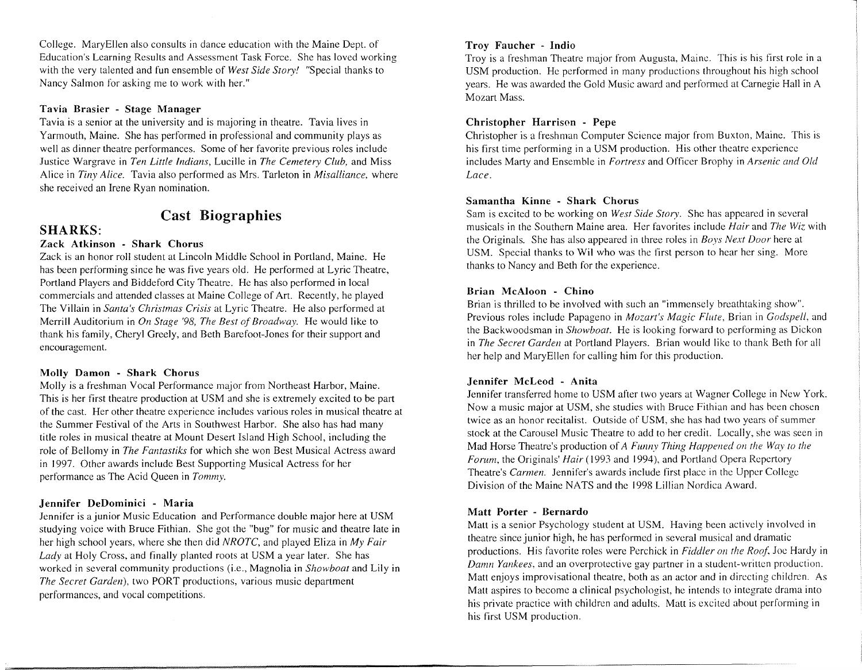College. MaryEllen also consults in dance education with the Maine Dept. of Education's Learning Results and Assessment Task Force. She has loved working with the very talented and fun ensemble of *West Side Story!* "Special thanks to Nancy Salmon for asking me to work with her."

#### **Tavia Brasier - Stage Manager**

Ta via is a senior at the university and is majoring in theatre. Tavia lives in Yarmouth, Maine. She has performed in professional and community plays as well as dinner theatre performances. Some of her favorite previous roles include Justice Wargrave in *Ten Little Indians,* Lucille in *The Cemetery Club,* and Miss Alice in *Tiny Alice*. Tavia also performed as Mrs. Tarleton in *Misalliance*, where she received an Irene Ryan nomination.

### **Cast Biographies**

#### **SHARKS:**

#### **Zack Atkinson - Shark Chorus**

Zack is an honor roll student at Lincoln Middle School in Portland, Maine. He has been performing since he was five years old. He performed at Lyric Theatre, Portland Players and Biddeford City Theatre. He has also performed in local commercials and attended classes at Maine College of Art. Recently, he played The Villain in *Santa's Christmas Crisis* at Lyric Theatre. He also performed at Merrill Auditorium in *On Stage '98, The Best of Broadway.* He would like to thank his family, Cheryl Greely, and Beth Barefoot-Jones for their support and encouragement.

#### **Molly Damon - Shark Chorus**

Molly is a freshman Vocal Performance major from Northeast Harbor, Maine. This is her first theatre production at USM and she is extremely excited to be part of the cast. Her other theatre experience includes various roles in musical theatre at the Summer Festival of the Arts in Southwest Harbor. She also has had many title roles in musical theatre at Mount Desert Island High School, including the role of Bellomy in *The Fantastiks* for which she won Best Musical Actress award in 1997. Other awards include Best Supporting Musical Actress for her performance as The Acid Queen in *Tommy.* 

#### **Jennifer DeDominici - Maria**

Jennifer is a junior Music Education and Performance double major here at USM studying voice with Bruce Fithian. She got the "bug" for music and theatre late in her high school years, where she then did *NROTC,* and played Eliza in *My Fair Lady* at Holy Cross, and finally planted roots at USM a year later. She has worked in several community productions (i.e., Magnolia in *Showboat* and Lily in *The Secret Garden),* two PORT productions, various music department performances, and vocal competitions.

#### **Troy Faucher - Indio**

Troy is a freshman Theatre major from Augusta, Maine. This is his first role in a USM production. He performed in many productions throughout his high school years. He was awarded the Gold Music award and performed at Carnegie Hall in A Mozart Mass.

#### **Christopher Harrison - Pepe**

Christopher is a freshman Computer Science major from Buxton, Maine. This is his first time performing in a USM production. His other theatre experience includes Marty and Ensemble in *Fortress* and Officer Brophy in *Arsenic and Old Lace.* 

#### **Samantha Kinne - Shark Chorus**

Sam is excited to be working on *West Side Story.* She has appeared in several musicals in the Southern Maine area. Her favorites include *Hair* and *The Wiz* with the Originals. She has also appeared in three roles in *Boys Next Door* here at USM. Special thanks to Wil who was the first person to hear her sing. More thanks to Nancy and Beth for the experience.

#### **Brian McAloon - Chino**

Brian is thrilled to be involved with such an "immensely breathtaking show". Previous roles include Papageno in *Mozart's Magic Flute,* Brian in *Godspell,* and the Backwoodsman in *Showboat.* He is looking forward to performing as Dickon in *The Secret Garden* at Portland Players. Brian would like to thank Beth for all her help and Mary Ellen for calling him for this production.

#### **Jennifer McLeod - Anita**

Jennifer transferred home to USM after two years at Wagner College in New York. Now a music major at USM, she studies with Bruce Fithian and has been chosen twice as an honor recitalist. Outside of USM, she has had two years of summer stock at the Carousel Music Theatre to add to her credit. Locally, she was seen in Mad Horse Theatre's production of *A Funny Thing Happened on the Way to the Forum, the Originals' Hair* (1993 and 1994), and Portland Opera Repertory Theatre's *Carmen.* Jennifer's awards include first place in the Upper College Division of the Maine NATS and the 1998 Lillian Nordica Award.

#### **Matt Porter - Bernardo**

Matt is a senior Psychology student at USM. Having been actively involved in theatre since junior high, he has performed in several musical and dramatic productions. His favorite roles were Perchick in *Fiddler on the Roof*, Joe Hardy in *Damn Yankees,* and an overprotective gay partner in a student-written production. Matt enjoys improvisational theatre, both as an actor and in directing children. As Matt aspires to become a clinical psychologist, he intends to integrate drama into his private practice with children and adults. Matt is excited about performing in his first USM production.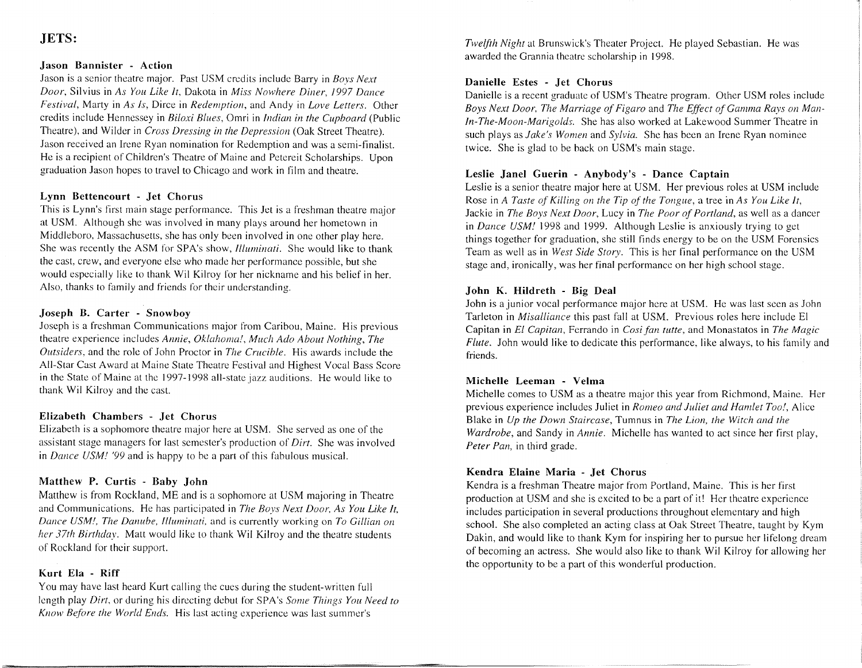#### JETS:

#### Jason Bannister - Action

Jason is a senior theatre major. Past USM credits include Barry in *Boys Next Door,* Silvius in *As You Like It,* Dakota in *Miss Nowhere Diner, 1997 Dance Festival,* Marty in *As Is,* Dirce in *Redemption,* and Andy in *Love Letters.* Other credits include Hennessey in *Biloxi Blues,* Omri in *Indian in the Cupboard* (Public Theatre), and Wilder in *Cross Dressing in the Depression* (Oak Street Theatre). Jason received an Irene Ryan nomination for Redemption and was a semi-finalist. He is a recipient of Children's Theatre of Maine and Petereit Scholarships. Upon graduation Jason hopes to travel to Chicago and work in film and theatre.

#### Lynn Bettencourt - Jet Chorus

This is Lynn's first main stage performance. This Jet is a freshman theatre major at USM. Although she was involved in many plays around her hometown in Middleboro, Massachusetts, she has only been involved in one other play here. She was recently the ASM for SPA's show, *Illuminati.* She would like to thank the cast, crew, and everyone else who made her performance possible, but she would especially like to thank Wil Kilroy for her nickname and his belief in her. Also, thanks to family and friends for their understanding.

#### Joseph B. Carter - Snowboy

Joseph is a freshman Communications major from Caribou, Maine. His previous theatre experience includes *Annie, Oklahoma!, Much Ado About Nothing, The Outsiders,* and the role of John Proctor in *The Crucible.* His awards include the All-Star Cast Award at Maine State Theatre Festival and Highest Vocal Bass Score in the State of Maine at the 1997-1998 all-state jazz auditions. He would like to thank Wil Kilroy and the cast.

#### Elizabeth Chambers - Jet Chorus

Elizabeth is a sophomore theatre major here at USM. She served as one of the assistant stage managers for last semester's production of *Dirt.* She was involved in *Dance USM! '99* and is happy to be a part of this fabulous musical.

#### Matthew P. Curtis - Baby John

Matthew is from Rockland, ME and is a sophomore at USM majoring in Theatre and Communications. He has participated in *The Boys Next Door, As You Like It, Dance USM!, The Danube, Illuminati,* and is currently working on *To Gillian on her 37th Birthday.* Matt would like to thank Wil Kilroy and the theatre students of Rockland for their support.

#### Kurt Ela - Riff

You may have last heard Kurt calling the cues during the student-written full length play *Dirt,* or during his directing debut for SPA's *Some Things You Need to Know Before the World Ends.* His last acting experience was last summer's

*Twelfth Night* at Brunswick's Theater Project. He played Sebastian. He was awarded the Grannia theatre scholarship in 1998.

#### Danielle Estes - Jet Chorus

Danielle is a recent graduate of USM's Theatre program. Other USM roles include Boys Next Door, The Marriage of Figaro and The Effect of Gamma Rays on Man*in-The-Moon-Marigolds.* She has also worked at Lakewood Summer Theatre in such plays as *Jake's Women* and *Sylvia.* She has been an Irene Ryan nominee twice. She is glad to be back on USM's main stage.

#### Leslie Janel Guerin - Anybody's - Dance Captain

Leslie is a senior theatre major here at USM. Her previous roles at USM include Rose in *A Taste of Killing on the Tip of the Tongue,* a tree in *As You Like It,*  Jackie in *The Boys Next Door,* Lucy in *The Poor of Portland,* as well as a dancer in *Dance USM!* 1998 and 1999. Although Leslie is anxiously trying to get things together for graduation, she still finds energy to be on the USM Forensics Team as well as in *West Side Story.* This is her final performance on the USM stage and, ironically, was her final performance on her high school stage.

#### John K. Hildreth - Big Deal

John is a junior vocal performance major here at USM. He was last seen as John Tarleton in *Misalliance* this past fall at USM. Previous roles here include El Capitan in *El Capitan,* Ferrando in *Cosi fan tutte,* and Monastatos in *The Magic Flute.* John would like to dedicate this performance, like always, to his family and friends.

#### Michelle Leeman - Velma

Michelle comes to USM as a theatre major this year from Richmond, Maine. Her previous experience includes Juliet in *Romeo and Juliet and Hamlet Too!,* Alice Blake in *Up the Down Staircase,* Tumnus in *The Lion, the Witch and the Wardrobe,* and Sandy in *Annie.* Michelle has wanted to act since her first play, *Peter Pan,* in third grade.

#### Kendra Elaine Maria - Jet Chorus

Kendra is a freshman Theatre major from Portland, Maine. This is her first production at USM and she is excited to be a part of it! Her theatre experience includes participation in several productions throughout elementary and high school. She also completed an acting class at Oak Street Theatre, taught by Kym Dakin, and would like to thank Kym for inspiring her to pursue her lifelong dream of becoming an actress. She would also like to thank Wil Kilroy for allowing her the opportunity to be a part of this wonderful production.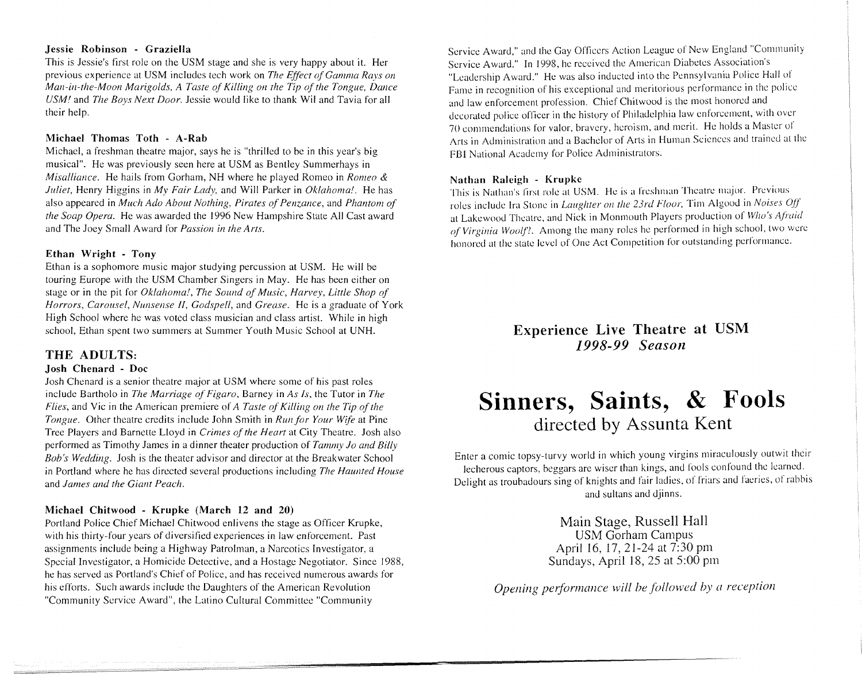#### Jessie Robinson - Graziella

This is Jessie's first role on the USM stage and she is very happy about it. Her previous experience at USM includes tech work on *The Effect of Gamma Rays on Man-in-the-Moon Marigolds, A Taste of Kiffing on the Tip of the Tongue, Dance USM!* and *The Boys Next Door.* Jessie would like to thank Wiland Tavia for all their help.

#### Michael Thomas Toth - A-Rab

Michael, a freshman theatre major, says he is "thrilled to be in this year's big musical". He was previously seen here at USM as Bentley Summerhays in *Misaffiance.* He hails from Gorham, NH where he played Romeo in *Romeo* & *Juliet,* Henry Higgins in *My Fair Lady,* and Will Parker in *Oklahoma!.* He has also appeared in *Much Ado About Nothing, Pirates of Penzance,* and *Phantom of the Soap Opera.* He was awarded the 1996 New Hampshire State All Cast award and The Joey Small Award for *Passion in the Arts.* 

#### Ethan Wright - Tony

Ethan is a sophomore music major studying percussion at USM. He will be touring Europe with the USM Chamber Singers in May. He has been either on stage or in the pit for *Oklahoma!, The Sound of Music, Harvey, Little Shop of Horrors, Carousel, Nunsense II, Godspeff,* and *Grease.* He is a graduate of York High School where he was voted class musician and class artist. While in high school, Ethan spent two summers at Summer Youth Music School at UNH.

#### THE ADULTS:

#### Josh Chenard - Doc

Josh Chenard is a senior theatre major at USM where some of his past roles include Bartholo in *The Marriage of Figaro,* Barney in *As Is,* the Tutor in *The Flies,* and Vic in the American premiere of *A Taste of Killing on the Tip of the Tongue.* Other theatre credits include John Smith in *Run for Your Wife* at Pine Tree Players and Barnette Lloyd in *Crimes of the Heart* at City Theatre. Josh also performed as Timothy James in a dinner theater production of *Tammy Jo and Billy Bob's Wedding.* Josh is the theater advisor and director at the Breakwater School in Portland where he has directed several productions including *The Haunted House*  and *James and the Giant Peach.* 

#### Michael Chitwood - Krupke (March 12 and 20)

Portland Police Chief Michael Chitwood enlivens the stage as Officer Krupke, with his thirty-four years of diversified experiences in law enforcement. Past assignments include being a Highway Patrolman, a Narcotics Investigator, a Special Investigator, a Homicide Detective, and a Hostage Negotiator. Since 1988, he has served as Portland's Chief of Police, and has received numerous awards for his efforts. Such awards include the Daughters of the American Revolution "Community Service Award", the Latino Cultural Committee "Community

Service Award," and the Gay Officers Action League of New England "Community Service Award." In 1998, he received the American Diabetes Association's "Leadership Award." He was also inducted into the Pennsylvania Police Hall of Fame in recognition of his exceptional and meritorious performance in the police and law enforcement profession. Chief Chitwood is the most honored and decorated police officer in the history of Philadelphia law enforcement, with over 70 commendations for valor. bravery, heroism, and merit. He holds a Master of Arts in Administration and a Bachelor of Arts in Human Sciences and trained at the FBI National Academy for Police Administrators.

#### Nathan Raleigh - Krupke

This is Nathan's first role at USM. He is a freshman Theatre major. Previous roles include Ira Stone in *Laughter on the 23rd Floor*, Tim Algood in *Noises Off* at Lakewood Theatre, and Nick in Monmouth Players production of *Who's Afraid of Virginia Woolf?.* Among the many roles he performed in high school, two were honored at the state level of One Act Competition for outstanding performance.

> Experience Live Theatre at USM *1998-99 Season*

# **Sinners, Saints, & Fools**  directed by Assunta Kent

Enter a comic topsy-turvy world in which young virgins miraculously outwit their lecherous captors, beggars arc wiser than kings, and fools confound the learned. Delight as troubadours sing of knights and fair ladies, of friars and faeries, of rabbis and sultans and djinns.

> Main Stage, Russell Hall USM Gorham Campus April 16, 17, 21-24 at 7:30 pm Sundays, April 18, 25 at 5:00 pm

*Opening performance will be followed by a reception*